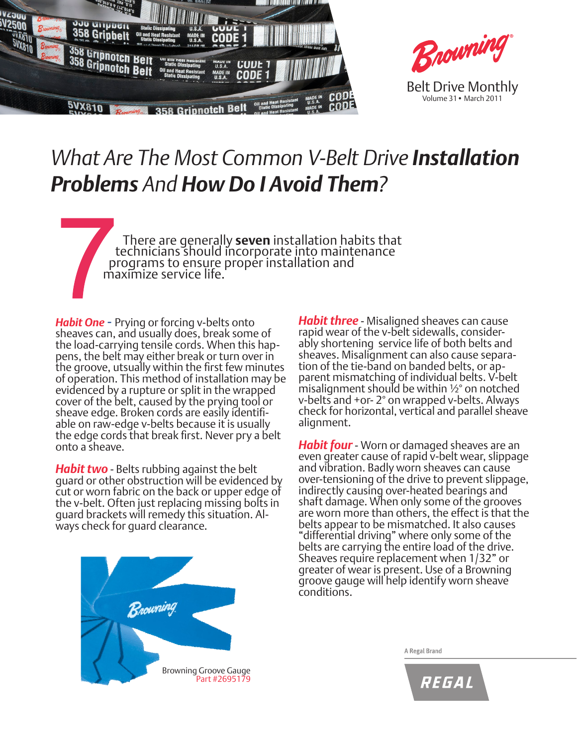

## *What Are The Most Common V-Belt Drive Installation Problems And How Do I Avoid Them?*

There are generally **seven** installation habits that technicians should incorporate into maintenance programs to ensure proper installation and maximize service life.

*Habit One* - Prying or forcing v-belts onto sheaves can, and usually does, break some of the load-carrying tensile cords. When this happens, the belt may either break or turn over in the groove, utsually within the first few minutes of operation. This method of installation may be evidenced by a rupture or split in the wrapped cover of the belt, caused by the prying tool or sheave edge. Broken cords are easily identifiable on raw-edge v-belts because it is usually the edge cords that break first. Never pry a belt onto a sheave.

*Habit two* - Belts rubbing against the belt guard or other obstruction will be evidenced by cut or worn fabric on the back or upper edge of the v-belt. Often just replacing missing bolts in guard brackets will remedy this situation. Al- ways check for guard clearance.

*Habit three* - Misaligned sheaves can cause ably shortening service life of both belts and sheaves. Misalignment can also cause separa- tion of the tie-band on banded belts, or ap- parent mismatching of individual belts. V-belt misalignment should be within ½° on notched v-belts and +or- 2° on wrapped v-belts. Always check for horizontal, vertical and parallel sheave alignment.

*Habit four*- Worn or damaged sheaves are an even greater cause of rapid v-belt wear, slippage and vibration. Badly worn sheaves can cause over-tensioning of the drive to prevent slippage, indirectly causing over-heated bearings and shaft damage. When only some of the grooves are worn more than others, the effect is that the belts appear to be mismatched. It also causes "differential driving" where only some of the belts are carrying the entire load of the drive. Sheaves require replacement when 1/32" or greater of wear is present. Use of a Browning groove gauge will help identify worn sheave conditions.



A Regal Brand